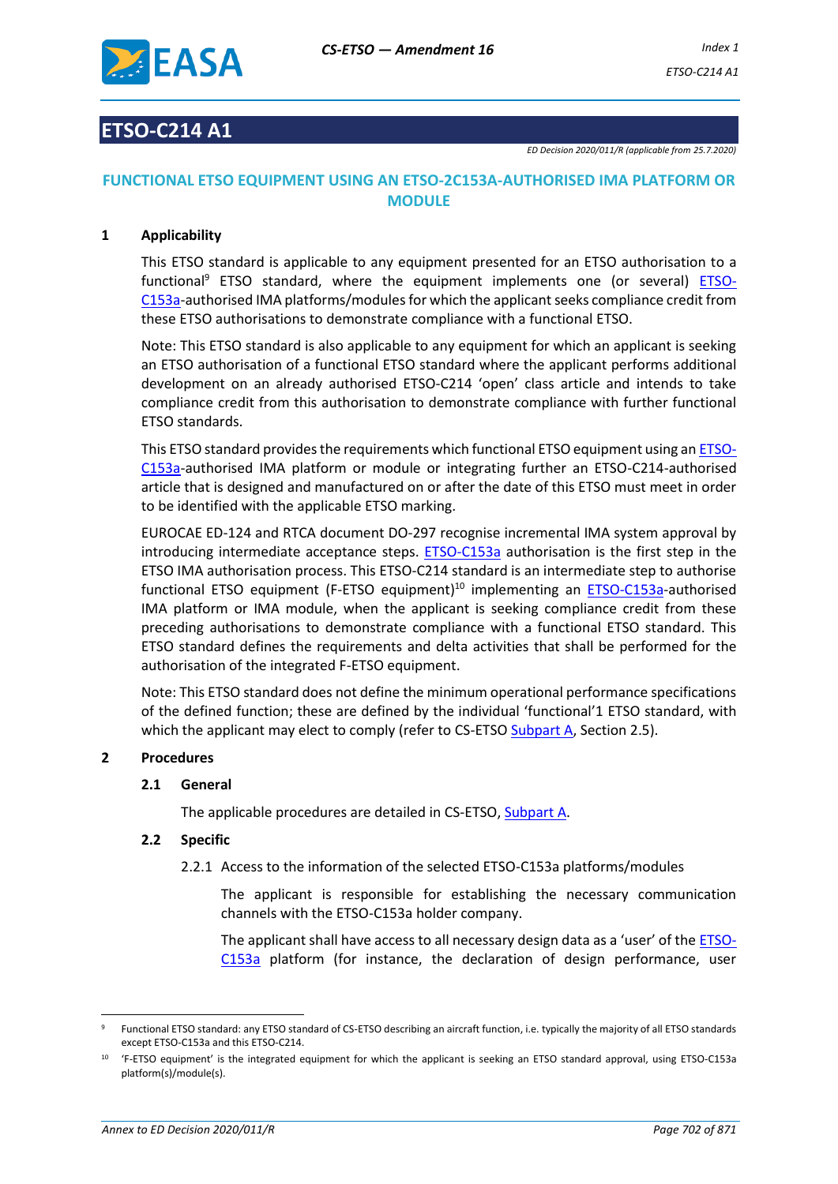

## **ETSO-C214 A1**

## **FUNCTIONAL ETSO EQUIPMENT USING AN ETSO-2C153A-AUTHORISED IMA PLATFORM OR MODULE**

## **1 Applicability**

This ETSO standard is applicable to any equipment presented for an ETSO authorisation to a functional<sup>9</sup> ETSO standard, where the equipment implements one (or several) ETSO-C153a-authorised IMA platforms/modules for which the applicant seeks compliance credit from these ETSO authorisations to demonstrate compliance with a functional ETSO.

Note: This ETSO standard is also applicable to any equipment for which an applicant is seeking an ETSO authorisation of a functional ETSO standard where the applicant performs additional development on an already authorised ETSO-C214 'open' class article and intends to take compliance credit from this authorisation to demonstrate compliance with further functional ETSO standards.

This ETSO standard provides the requirements which functional ETSO equipment using an ETSO-C153a-authorised IMA platform or module or integrating further an ETSO-C214-authorised article that is designed and manufactured on or after the date of this ETSO must meet in order to be identified with the applicable ETSO marking.

EUROCAE ED-124 and RTCA document DO-297 recognise incremental IMA system approval by introducing intermediate acceptance steps. ETSO-C153a authorisation is the first step in the ETSO IMA authorisation process. This ETSO-C214 standard is an intermediate step to authorise functional ETSO equipment (F-ETSO equipment)<sup>10</sup> implementing an ETSO-C153a-authorised IMA platform or IMA module, when the applicant is seeking compliance credit from these preceding authorisations to demonstrate compliance with a functional ETSO standard. This ETSO standard defines the requirements and delta activities that shall be performed for the authorisation of the integrated F-ETSO equipment.

Note: This ETSO standard does not define the minimum operational performance specifications of the defined function; these are defined by the individual 'functional'1 ETSO standard, with which the applicant may elect to comply (refer to CS-ETSO Subpart A, Section 2.5).

## **2 Procedures**

## **2.1 General**

The applicable procedures are detailed in CS-ETSO, Subpart A.

## **2.2 Specific**

2.2.1 Access to the information of the selected ETSO-C153a platforms/modules

The applicant is responsible for establishing the necessary communication channels with the ETSO-C153a holder company.

The applicant shall have access to all necessary design data as a 'user' of the ETSO-C153a platform (for instance, the declaration of design performance, user

<sup>9</sup> Functional ETSO standard: any ETSO standard of CS-ETSO describing an aircraft function, i.e. typically the majority of all ETSO standards except ETSO-C153a and this ETSO-C214.

<sup>10</sup> 'F-ETSO equipment' is the integrated equipment for which the applicant is seeking an ETSO standard approval, using ETSO-C153a platform(s)/module(s).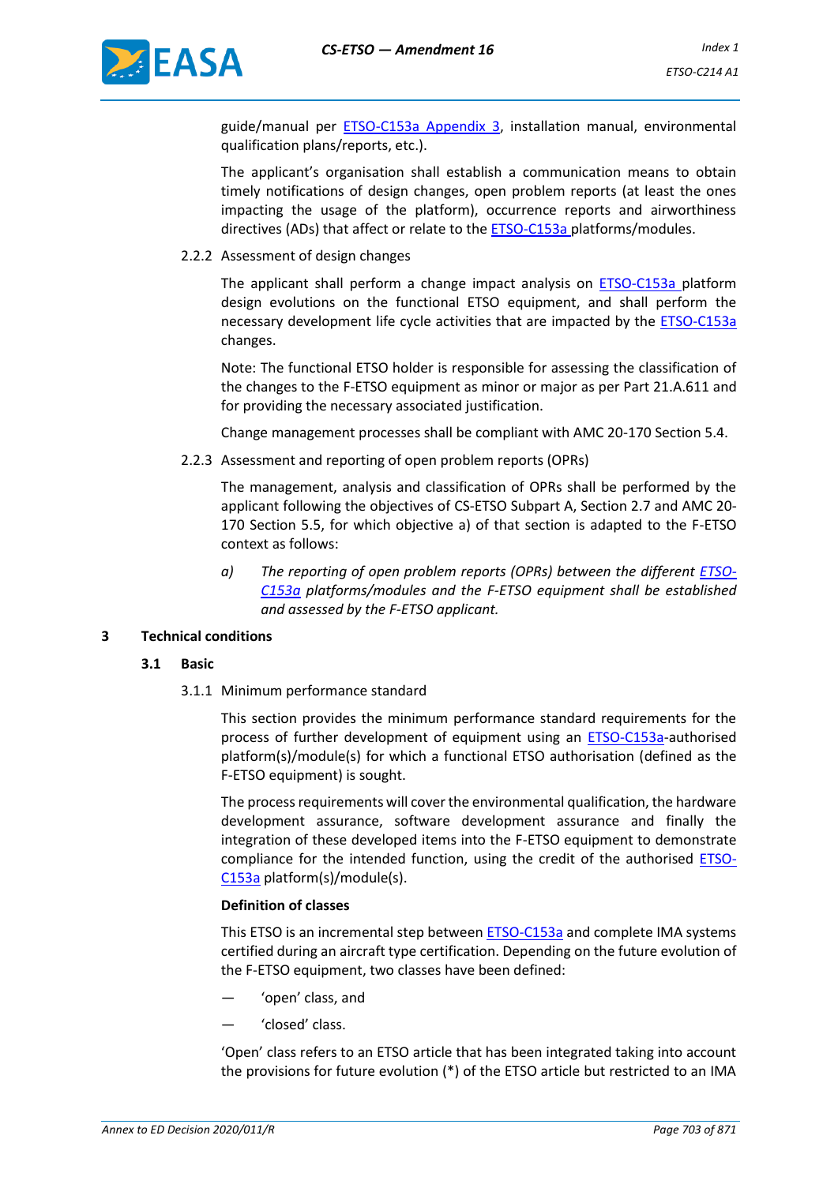

guide/manual per ETSO-C153a Appendix 3, installation manual, environmental qualification plans/reports, etc.).

The applicant's organisation shall establish a communication means to obtain timely notifications of design changes, open problem reports (at least the ones impacting the usage of the platform), occurrence reports and airworthiness directives (ADs) that affect or relate to the **ETSO-C153a** platforms/modules.

#### 2.2.2 Assessment of design changes

The applicant shall perform a change impact analysis on ETSO-C153a platform design evolutions on the functional ETSO equipment, and shall perform the necessary development life cycle activities that are impacted by the **ETSO-C153a** changes.

Note: The functional ETSO holder is responsible for assessing the classification of the changes to the F-ETSO equipment as minor or major as per Part 21.A.611 and for providing the necessary associated justification.

Change management processes shall be compliant with AMC 20-170 Section 5.4.

2.2.3 Assessment and reporting of open problem reports (OPRs)

The management, analysis and classification of OPRs shall be performed by the applicant following the objectives of CS-ETSO Subpart A, Section 2.7 and AMC 20- 170 Section 5.5, for which objective a) of that section is adapted to the F-ETSO context as follows:

*a) The reporting of open problem reports (OPRs) between the different ETSO-C153a platforms/modules and the F-ETSO equipment shall be established and assessed by the F-ETSO applicant.*

## **3 Technical conditions**

## **3.1 Basic**

3.1.1 Minimum performance standard

This section provides the minimum performance standard requirements for the process of further development of equipment using an ETSO-C153a-authorised platform(s)/module(s) for which a functional ETSO authorisation (defined as the F-ETSO equipment) is sought.

The process requirements will cover the environmental qualification, the hardware development assurance, software development assurance and finally the integration of these developed items into the F-ETSO equipment to demonstrate compliance for the intended function, using the credit of the authorised ETSO-C153a platform(s)/module(s).

#### **Definition of classes**

This ETSO is an incremental step between ETSO-C153a and complete IMA systems certified during an aircraft type certification. Depending on the future evolution of the F-ETSO equipment, two classes have been defined:

- 'open' class, and
- 'closed' class.

'Open' class refers to an ETSO article that has been integrated taking into account the provisions for future evolution (\*) of the ETSO article but restricted to an IMA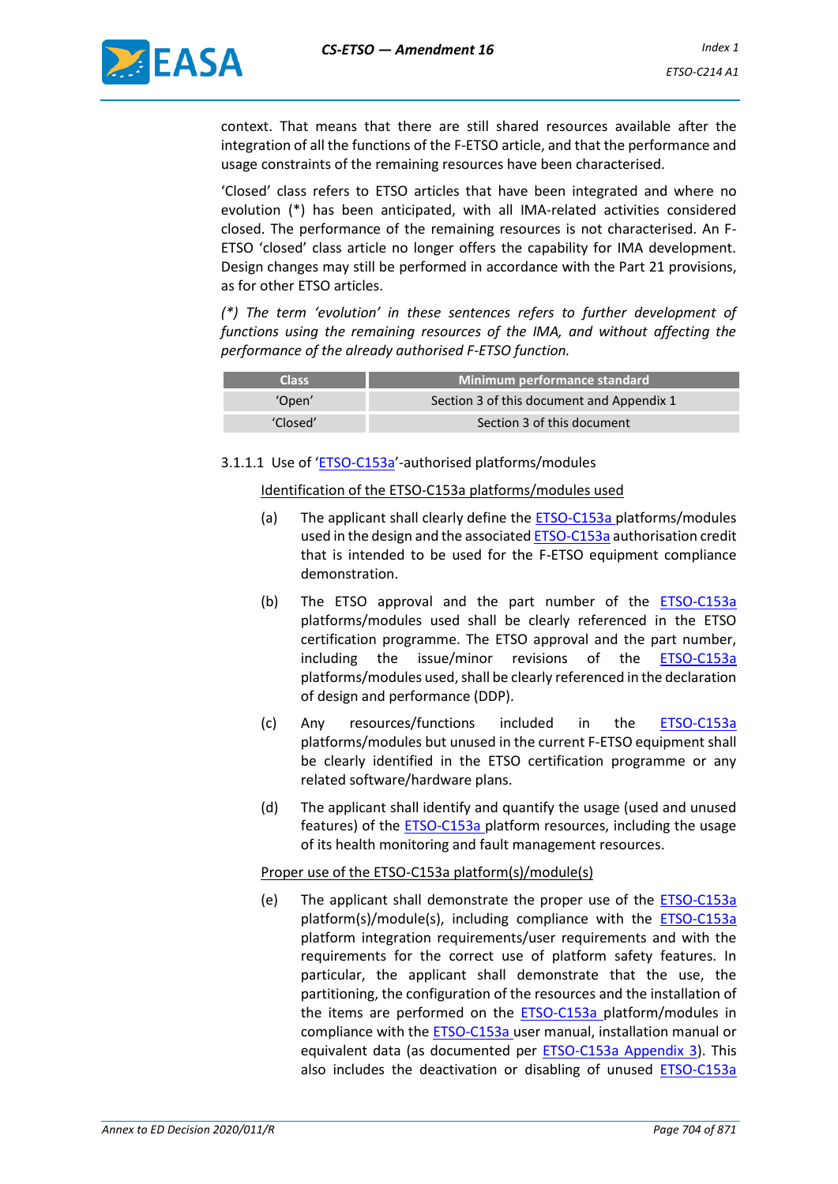

context. That means that there are still shared resources available after the integration of all the functions of the F-ETSO article, and that the performance and usage constraints of the remaining resources have been characterised.

'Closed' class refers to ETSO articles that have been integrated and where no evolution (\*) has been anticipated, with all IMA-related activities considered closed. The performance of the remaining resources is not characterised. An F-ETSO 'closed' class article no longer offers the capability for IMA development. Design changes may still be performed in accordance with the Part 21 provisions, as for other ETSO articles.

*(\*) The term 'evolution' in these sentences refers to further development of functions using the remaining resources of the IMA, and without affecting the performance of the already authorised F-ETSO function.*

| <b>Class</b> | Minimum performance standard              |
|--------------|-------------------------------------------|
| 'Open'       | Section 3 of this document and Appendix 1 |
| 'Closed'     | Section 3 of this document                |

## 3.1.1.1 Use of 'ETSO-C153a'-authorised platforms/modules

#### Identification of the ETSO-C153a platforms/modules used

- (a) The applicant shall clearly define the **ETSO-C153a** platforms/modules used in the design and the associated ETSO-C153a authorisation credit that is intended to be used for the F-ETSO equipment compliance demonstration.
- (b) The ETSO approval and the part number of the ETSO-C153a platforms/modules used shall be clearly referenced in the ETSO certification programme. The ETSO approval and the part number, including the issue/minor revisions of the ETSO-C153a platforms/modules used, shall be clearly referenced in the declaration of design and performance (DDP).
- (c) Any resources/functions included in the ETSO-C153a platforms/modules but unused in the current F-ETSO equipment shall be clearly identified in the ETSO certification programme or any related software/hardware plans.
- (d) The applicant shall identify and quantify the usage (used and unused features) of the ETSO-C153a platform resources, including the usage of its health monitoring and fault management resources.

#### Proper use of the ETSO-C153a platform(s)/module(s)

(e) The applicant shall demonstrate the proper use of the ETSO-C153a platform(s)/module(s), including compliance with the ETSO-C153a platform integration requirements/user requirements and with the requirements for the correct use of platform safety features. In particular, the applicant shall demonstrate that the use, the partitioning, the configuration of the resources and the installation of the items are performed on the ETSO-C153a platform/modules in compliance with the ETSO-C153a user manual, installation manual or equivalent data (as documented per **ETSO-C153a Appendix 3**). This also includes the deactivation or disabling of unused ETSO-C153a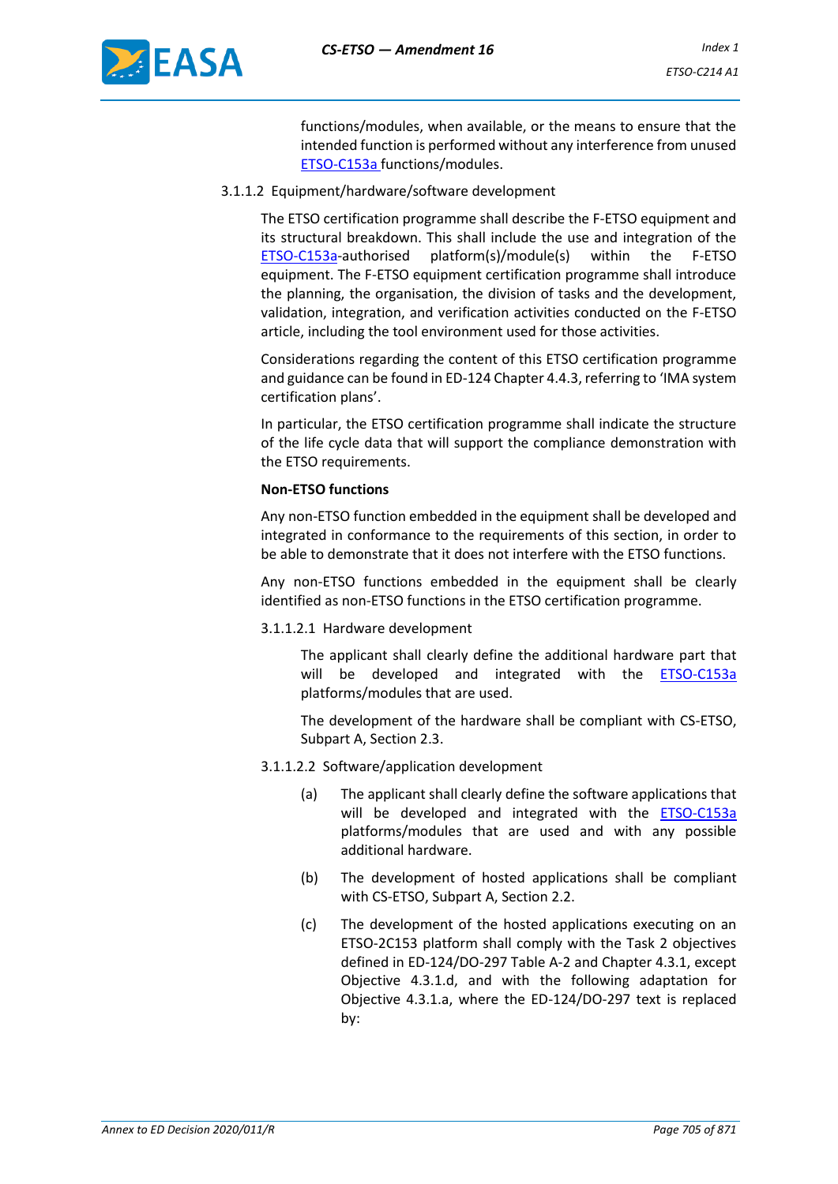

functions/modules, when available, or the means to ensure that the intended function is performed without any interference from unused ETSO-C153a functions/modules.

3.1.1.2 Equipment/hardware/software development

The ETSO certification programme shall describe the F-ETSO equipment and its structural breakdown. This shall include the use and integration of the ETSO-C153a-authorised platform(s)/module(s) within the F-ETSO equipment. The F-ETSO equipment certification programme shall introduce the planning, the organisation, the division of tasks and the development, validation, integration, and verification activities conducted on the F-ETSO article, including the tool environment used for those activities.

Considerations regarding the content of this ETSO certification programme and guidance can be found in ED-124 Chapter 4.4.3, referring to 'IMA system certification plans'.

In particular, the ETSO certification programme shall indicate the structure of the life cycle data that will support the compliance demonstration with the ETSO requirements.

#### **Non-ETSO functions**

Any non-ETSO function embedded in the equipment shall be developed and integrated in conformance to the requirements of this section, in order to be able to demonstrate that it does not interfere with the ETSO functions.

Any non-ETSO functions embedded in the equipment shall be clearly identified as non-ETSO functions in the ETSO certification programme.

3.1.1.2.1 Hardware development

The applicant shall clearly define the additional hardware part that will be developed and integrated with the ETSO-C153a platforms/modules that are used.

The development of the hardware shall be compliant with CS-ETSO, Subpart A, Section 2.3.

- 3.1.1.2.2 Software/application development
	- (a) The applicant shall clearly define the software applications that will be developed and integrated with the **ETSO-C153a** platforms/modules that are used and with any possible additional hardware.
	- (b) The development of hosted applications shall be compliant with CS-ETSO, Subpart A, Section 2.2.
	- (c) The development of the hosted applications executing on an ETSO-2C153 platform shall comply with the Task 2 objectives defined in ED-124/DO-297 Table A-2 and Chapter 4.3.1, except Objective 4.3.1.d, and with the following adaptation for Objective 4.3.1.a, where the ED-124/DO-297 text is replaced by: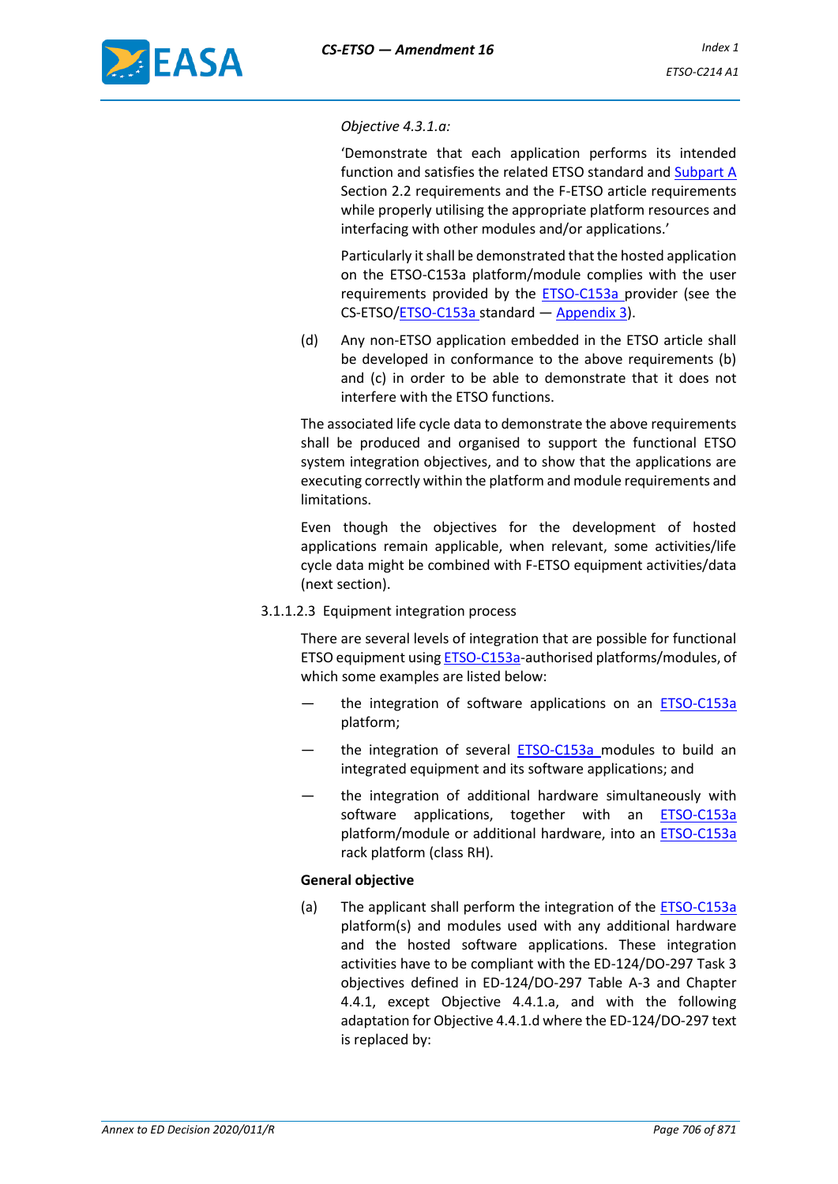

#### *Objective 4.3.1.a:*

'Demonstrate that each application performs its intended function and satisfies the related ETSO standard and Subpart A Section 2.2 requirements and the F-ETSO article requirements while properly utilising the appropriate platform resources and interfacing with other modules and/or applications.'

Particularly it shall be demonstrated that the hosted application on the ETSO-C153a platform/module complies with the user requirements provided by the **ETSO-C153a** provider (see the CS-ETSO/ETSO-C153a standard - Appendix 3).

(d) Any non-ETSO application embedded in the ETSO article shall be developed in conformance to the above requirements (b) and (c) in order to be able to demonstrate that it does not interfere with the ETSO functions.

The associated life cycle data to demonstrate the above requirements shall be produced and organised to support the functional ETSO system integration objectives, and to show that the applications are executing correctly within the platform and module requirements and limitations.

Even though the objectives for the development of hosted applications remain applicable, when relevant, some activities/life cycle data might be combined with F-ETSO equipment activities/data (next section).

3.1.1.2.3 Equipment integration process

There are several levels of integration that are possible for functional ETSO equipment using ETSO-C153a-authorised platforms/modules, of which some examples are listed below:

- the integration of software applications on an **ETSO-C153a** platform;
- the integration of several ETSO-C153a modules to build an integrated equipment and its software applications; and
- the integration of additional hardware simultaneously with software applications, together with an **ETSO-C153a** platform/module or additional hardware, into an **ETSO-C153a** rack platform (class RH).

## **General objective**

(a) The applicant shall perform the integration of the ETSO-C153a platform(s) and modules used with any additional hardware and the hosted software applications. These integration activities have to be compliant with the ED-124/DO-297 Task 3 objectives defined in ED-124/DO-297 Table A-3 and Chapter 4.4.1, except Objective 4.4.1.a, and with the following adaptation for Objective 4.4.1.d where the ED-124/DO-297 text is replaced by: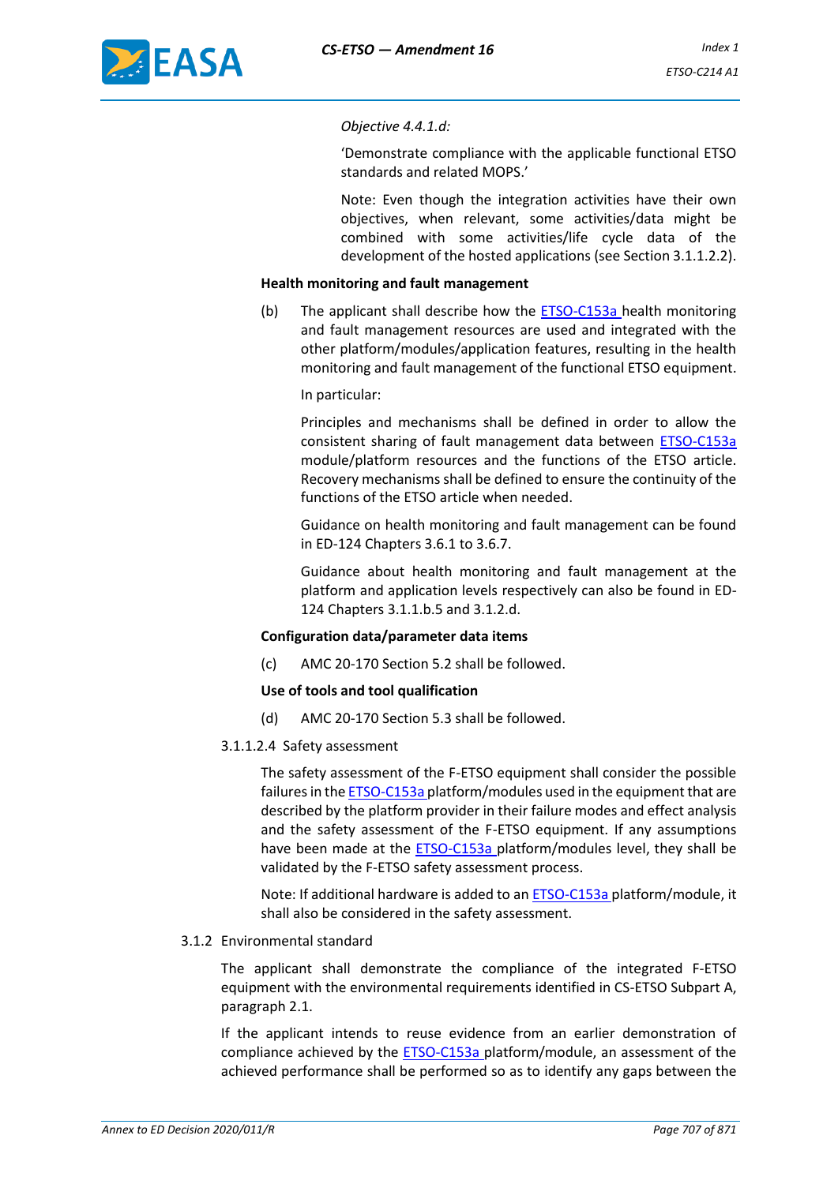#### *Objective 4.4.1.d:*

'Demonstrate compliance with the applicable functional ETSO standards and related MOPS.'

Note: Even though the integration activities have their own objectives, when relevant, some activities/data might be combined with some activities/life cycle data of the development of the hosted applications (see Section 3.1.1.2.2).

#### **Health monitoring and fault management**

(b) The applicant shall describe how the ETSO-C153a health monitoring and fault management resources are used and integrated with the other platform/modules/application features, resulting in the health monitoring and fault management of the functional ETSO equipment.

In particular:

Principles and mechanisms shall be defined in order to allow the consistent sharing of fault management data between ETSO-C153a module/platform resources and the functions of the ETSO article. Recovery mechanisms shall be defined to ensure the continuity of the functions of the ETSO article when needed.

Guidance on health monitoring and fault management can be found in ED-124 Chapters 3.6.1 to 3.6.7.

Guidance about health monitoring and fault management at the platform and application levels respectively can also be found in ED-124 Chapters 3.1.1.b.5 and 3.1.2.d.

## **Configuration data/parameter data items**

(c) AMC 20-170 Section 5.2 shall be followed.

#### **Use of tools and tool qualification**

- (d) AMC 20-170 Section 5.3 shall be followed.
- 3.1.1.2.4 Safety assessment

The safety assessment of the F-ETSO equipment shall consider the possible failures in the ETSO-C153a platform/modules used in the equipment that are described by the platform provider in their failure modes and effect analysis and the safety assessment of the F-ETSO equipment. If any assumptions have been made at the **ETSO-C153a** platform/modules level, they shall be validated by the F-ETSO safety assessment process.

Note: If additional hardware is added to an ETSO-C153a platform/module, it shall also be considered in the safety assessment.

## 3.1.2 Environmental standard

The applicant shall demonstrate the compliance of the integrated F-ETSO equipment with the environmental requirements identified in CS-ETSO Subpart A, paragraph 2.1.

If the applicant intends to reuse evidence from an earlier demonstration of compliance achieved by the ETSO-C153a platform/module, an assessment of the achieved performance shall be performed so as to identify any gaps between the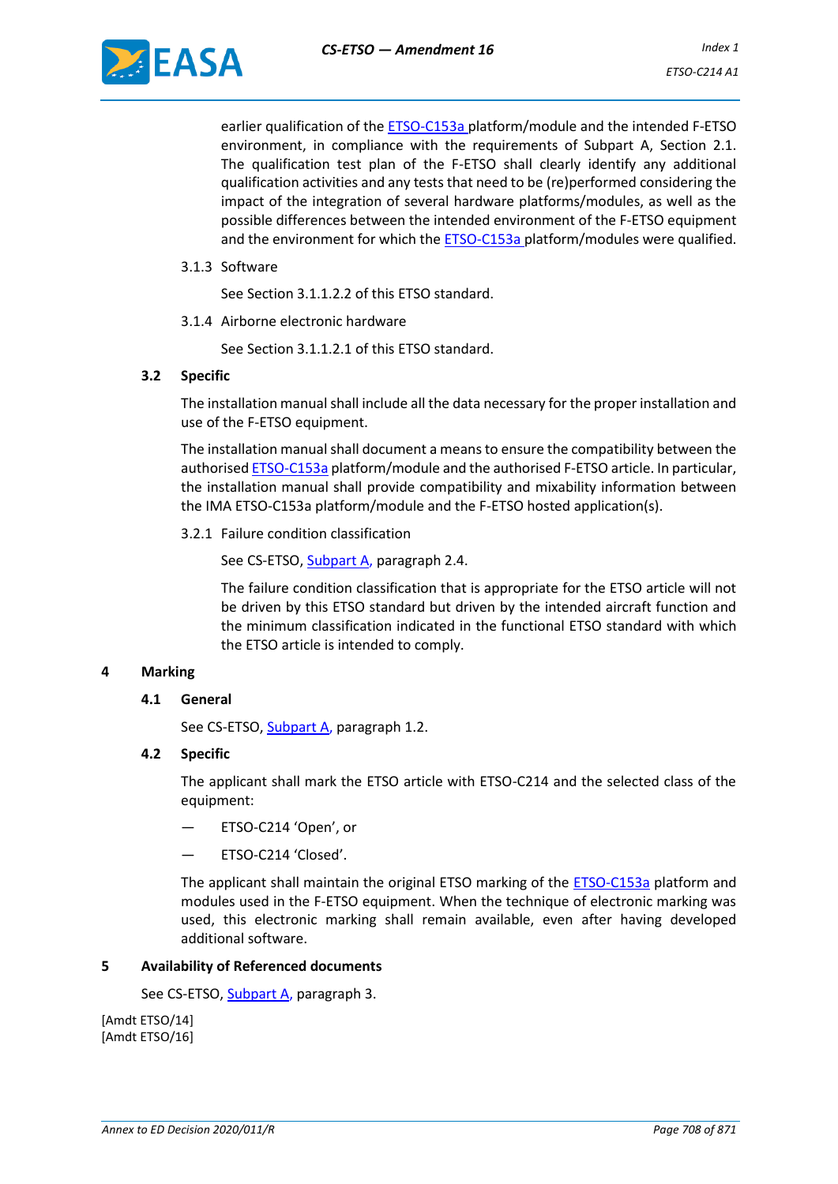earlier qualification of the ETSO-C153a platform/module and the intended F-ETSO environment, in compliance with the requirements of Subpart A, Section 2.1. The qualification test plan of the F-ETSO shall clearly identify any additional qualification activities and any tests that need to be (re)performed considering the impact of the integration of several hardware platforms/modules, as well as the possible differences between the intended environment of the F-ETSO equipment and the environment for which the ETSO-C153a platform/modules were qualified.

3.1.3 Software

See Section 3.1.1.2.2 of this ETSO standard.

3.1.4 Airborne electronic hardware

See Section 3.1.1.2.1 of this ETSO standard.

#### **3.2 Specific**

The installation manual shall include all the data necessary for the proper installation and use of the F-ETSO equipment.

The installation manual shall document a means to ensure the compatibility between the authorised ETSO-C153a platform/module and the authorised F-ETSO article. In particular, the installation manual shall provide compatibility and mixability information between the IMA ETSO-C153a platform/module and the F-ETSO hosted application(s).

3.2.1 Failure condition classification

See CS-ETSO, Subpart A, paragraph 2.4.

The failure condition classification that is appropriate for the ETSO article will not be driven by this ETSO standard but driven by the intended aircraft function and the minimum classification indicated in the functional ETSO standard with which the ETSO article is intended to comply.

## **4 Marking**

## **4.1 General**

See CS-ETSO, Subpart A, paragraph 1.2.

#### **4.2 Specific**

The applicant shall mark the ETSO article with ETSO-C214 and the selected class of the equipment:

- ETSO-C214 'Open', or
- ETSO-C214 'Closed'.

The applicant shall maintain the original ETSO marking of the ETSO-C153a platform and modules used in the F-ETSO equipment. When the technique of electronic marking was used, this electronic marking shall remain available, even after having developed additional software.

#### **5 Availability of Referenced documents**

See CS-ETSO, Subpart A, paragraph 3.

[Amdt ETSO/14] [Amdt ETSO/16]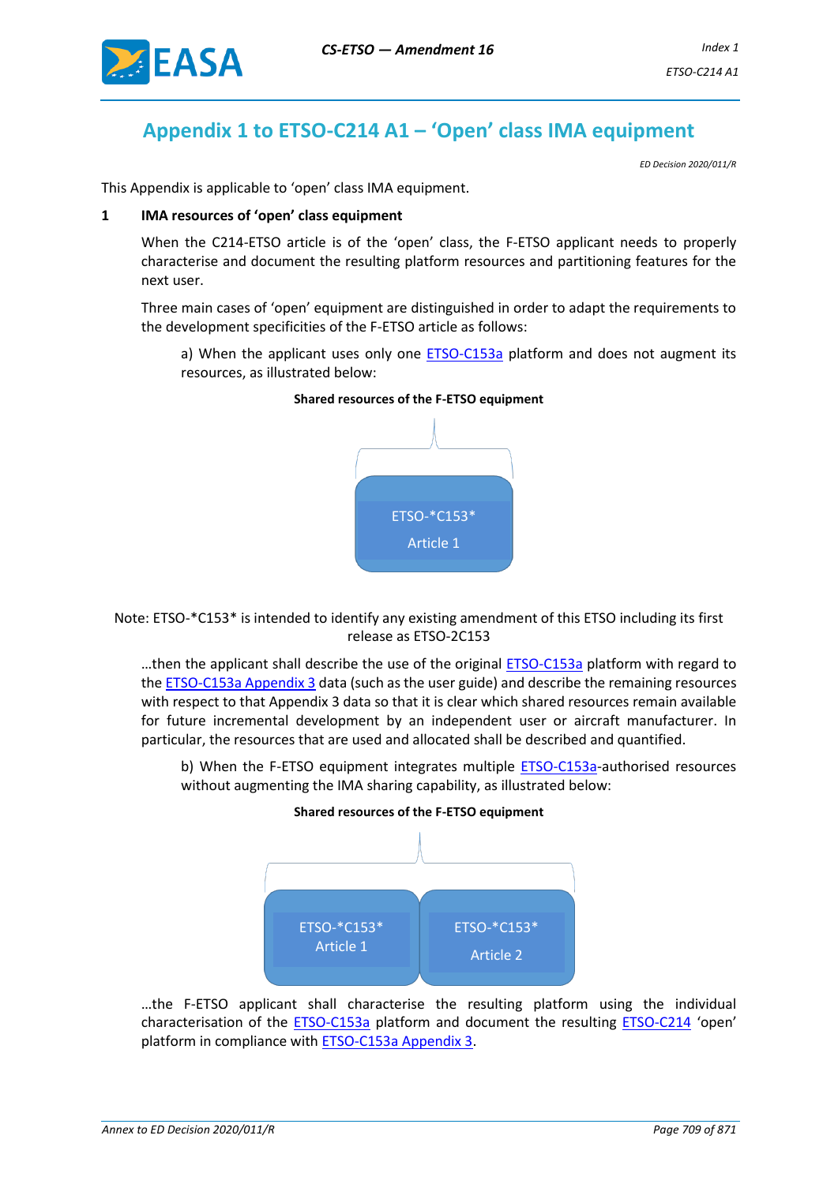

# **Appendix 1 to ETSO-C214 A1 – 'Open' class IMA equipment**

*ED Decision 2020/011/R*

This Appendix is applicable to 'open' class IMA equipment.

#### **1 IMA resources of 'open' class equipment**

When the C214-ETSO article is of the 'open' class, the F-ETSO applicant needs to properly characterise and document the resulting platform resources and partitioning features for the next user.

Three main cases of 'open' equipment are distinguished in order to adapt the requirements to the development specificities of the F-ETSO article as follows:

a) When the applicant uses only one ETSO-C153a platform and does not augment its resources, as illustrated below:



## **Shared resources of the F-ETSO equipment**

Note: ETSO-\*C153\* is intended to identify any existing amendment of this ETSO including its first release as ETSO-2C153

...then the applicant shall describe the use of the original **ETSO-C153a** platform with regard to the ETSO-C153a Appendix 3 data (such as the user guide) and describe the remaining resources with respect to that Appendix 3 data so that it is clear which shared resources remain available for future incremental development by an independent user or aircraft manufacturer. In particular, the resources that are used and allocated shall be described and quantified.

b) When the F-ETSO equipment integrates multiple **ETSO-C153a**-authorised resources without augmenting the IMA sharing capability, as illustrated below: **Shared resources of the F-ETSO equipment**



…the F-ETSO applicant shall characterise the resulting platform using the individual characterisation of the ETSO-C153a platform and document the resulting ETSO-C214 'open' platform in compliance with ETSO-C153a Appendix 3.